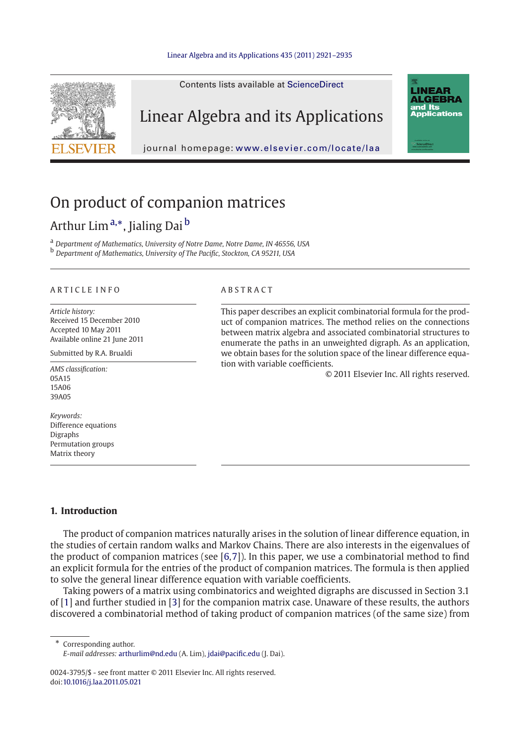#### [Linear Algebra and its Applications 435 \(2011\) 2921–2935](http://dx.doi.org/10.1016/j.laa.2011.05.021)

Contents lists available at [ScienceDirect](http://www.sciencedirect.com/science/journal/00243795)



# Linear Algebra and its Applications

journal homepage: <www.elsevier.com/locate/laa>

# On product of companion matrices

## Arthur Lim<sup>a,∗</sup>, Jialing Dai<sup>b</sup>

<sup>a</sup> *Department of Mathematics, University of Notre Dame, Notre Dame, IN 46556, USA* <sup>b</sup> *Department of Mathematics, University of The Pacific, Stockton, CA 95211, USA*

#### ARTICLE INFO ABSTRACT

*Article history:* Received 15 December 2010 Accepted 10 May 2011 Available online 21 June 2011

Submitted by R.A. Brualdi

*AMS classification:* 05A15 15A06 39A05

*Keywords:* Difference equations Digraphs Permutation groups Matrix theory

This paper describes an explicit combinatorial formula for the product of companion matrices. The method relies on the connections between matrix algebra and associated combinatorial structures to enumerate the paths in an unweighted digraph. As an application, we obtain bases for the solution space of the linear difference equation with variable coefficients.

© 2011 Elsevier Inc. All rights reserved.

**LINEAR ALGEBRA** and Its **Applications** 

#### **1. Introduction**

The product of companion matrices naturally arises in the solution of linear difference equation, in the studies of certain random walks and Markov Chains. There are also interests in the eigenvalues of the product of companion matrices (see  $[6,7]$  $[6,7]$ ). In this paper, we use a combinatorial method to find an explicit formula for the entries of the product of companion matrices. The formula is then applied to solve the general linear difference equation with variable coefficients.

Taking powers of a matrix using combinatorics and weighted digraphs are discussed in Section 3.1 of [\[1](#page-14-2)] and further studied in [\[3\]](#page-14-3) for the companion matrix case. Unaware of these results, the authors discovered a combinatorial method of taking product of companion matrices (of the same size) from

Corresponding author.

0024-3795/\$ - see front matter © 2011 Elsevier Inc. All rights reserved. doi[:10.1016/j.laa.2011.05.021](http://dx.doi.org/10.1016/j.laa.2011.05.021)

*E-mail addresses:* arthurlim@nd.edu (A. Lim), jdai@pacific.edu (J. Dai).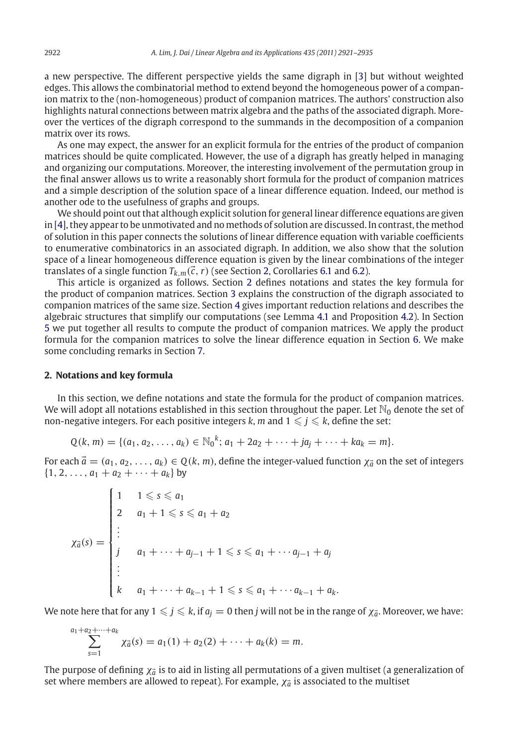a new perspective. The different perspective yields the same digraph in [\[3\]](#page-14-3) but without weighted edges. This allows the combinatorial method to extend beyond the homogeneous power of a companion matrix to the (non-homogeneous) product of companion matrices. The authors' construction also highlights natural connections between matrix algebra and the paths of the associated digraph. Moreover the vertices of the digraph correspond to the summands in the decomposition of a companion matrix over its rows.

As one may expect, the answer for an explicit formula for the entries of the product of companion matrices should be quite complicated. However, the use of a digraph has greatly helped in managing and organizing our computations. Moreover, the interesting involvement of the permutation group in the final answer allows us to write a reasonably short formula for the product of companion matrices and a simple description of the solution space of a linear difference equation. Indeed, our method is another ode to the usefulness of graphs and groups.

We should point out that although explicit solution for general linear difference equations are given in [\[4](#page-14-4)], they appear to be unmotivated and no methods of solution are discussed. In contrast, the method of solution in this paper connects the solutions of linear difference equation with variable coefficients to enumerative combinatorics in an associated digraph. In addition, we also show that the solution space of a linear homogeneous difference equation is given by the linear combinations of the integer translates of a single function  $T_{k,m}(\vec{c}, r)$  (see Section [2,](#page-1-0) Corollaries [6.1](#page-12-0) and [6.2\)](#page-13-0).

This article is organized as follows. Section [2](#page-1-0) defines notations and states the key formula for the product of companion matrices. Section [3](#page-2-0) explains the construction of the digraph associated to companion matrices of the same size. Section [4](#page-4-0) gives important reduction relations and describes the algebraic structures that simplify our computations (see Lemma [4.1](#page-4-1) and Proposition [4.2\)](#page-5-0). In Section [5](#page-9-0) we put together all results to compute the product of companion matrices. We apply the product formula for the companion matrices to solve the linear difference equation in Section [6.](#page-12-1) We make some concluding remarks in Section [7.](#page-14-5)

#### <span id="page-1-0"></span>**2. Notations and key formula**

In this section, we define notations and state the formula for the product of companion matrices. We will adopt all notations established in this section throughout the paper. Let  $\mathbb{N}_0$  denote the set of non-negative integers. For each positive integers *k*, *m* and  $1 \leqslant j \leqslant k$ , define the set:

$$
Q(k, m) = \{(a_1, a_2, \ldots, a_k) \in \mathbb{N}_0^k; a_1 + 2a_2 + \cdots + ja_j + \cdots + ka_k = m\}.
$$

For each  $\vec{a} = (a_1, a_2, \ldots, a_k) \in Q(k, m)$ , define the integer-valued function  $\chi_{\vec{a}}$  on the set of integers  $\{1, 2, \ldots, a_1 + a_2 + \cdots + a_k\}$  by

$$
\chi_{\vec{a}}(s) = \begin{cases}\n1 & 1 \leq s \leq a_1 \\
2 & a_1 + 1 \leq s \leq a_1 + a_2 \\
\vdots \\
j & a_1 + \dots + a_{j-1} + 1 \leq s \leq a_1 + \dots + a_{j-1} + a_j \\
\vdots \\
k & a_1 + \dots + a_{k-1} + 1 \leq s \leq a_1 + \dots + a_{k-1} + a_k.\n\end{cases}
$$

We note here that for any  $1\leqslant j\leqslant k$ , if  $a_j=0$  then  $j$  will not be in the range of  $\chi_{\vec a}.$  Moreover, we have:

$$
\sum_{s=1}^{a_1+a_2+\cdots+a_k} \chi_{\vec{a}}(s) = a_1(1) + a_2(2) + \cdots + a_k(k) = m.
$$

The purpose of defining  $\chi_{\vec a}$  is to aid in listing all permutations of a given multiset (a generalization of set where members are allowed to repeat). For example,  $\chi_{\vec{a}}$  is associated to the multiset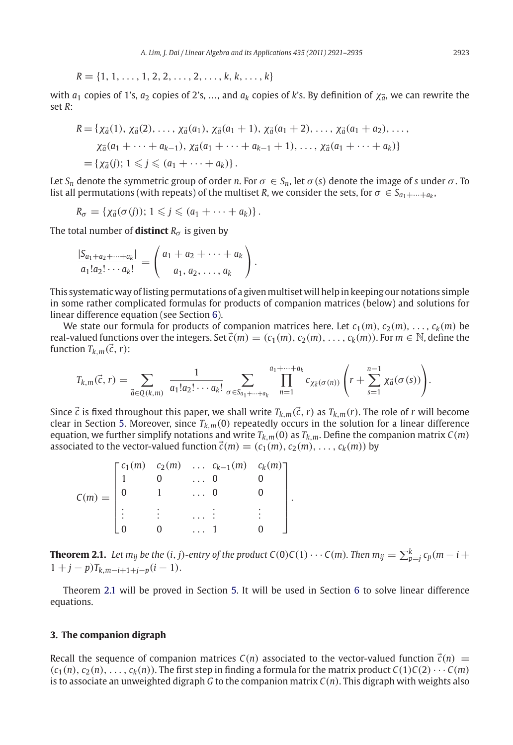$$
R = \{1, 1, \ldots, 1, 2, 2, \ldots, 2, \ldots, k, k, \ldots, k\}
$$

with  $a_1$  copies of 1's,  $a_2$  copies of 2's, …, and  $a_k$  copies of *k*'s. By definition of  $\chi_{\vec a}$ , we can rewrite the set *R*:

$$
R = \{ \chi_{\vec{a}}(1), \chi_{\vec{a}}(2), \ldots, \chi_{\vec{a}}(a_1), \chi_{\vec{a}}(a_1 + 1), \chi_{\vec{a}}(a_1 + 2), \ldots, \chi_{\vec{a}}(a_1 + a_2), \ldots, \chi_{\vec{a}}(a_1 + \cdots + a_{k-1}), \chi_{\vec{a}}(a_1 + \cdots + a_{k-1} + 1), \ldots, \chi_{\vec{a}}(a_1 + \cdots + a_k) \} = \{ \chi_{\vec{a}}(j); 1 \leq j \leq (a_1 + \cdots + a_k) \}.
$$

Let  $S_n$  denote the symmetric group of order *n*. For  $\sigma \in S_n$ , let  $\sigma(s)$  denote the image of *s* under  $\sigma$ . To list all permutations (with repeats) of the multiset *R*, we consider the sets, for  $\sigma \in S_{a_1+\cdots+a_k}$ ,

$$
R_{\sigma} = \{ \chi_{\vec{a}}(\sigma(j)) ; 1 \leqslant j \leqslant (a_1 + \cdots + a_k) \}.
$$

The total number of **distinct**  $R_{\sigma}$  is given by

$$
\frac{|S_{a_1+a_2+\cdots+a_k}|}{a_1!a_2!\cdots a_k!}=\binom{a_1+a_2+\cdots+a_k}{a_1,a_2,\ldots,a_k}.
$$

This systematic way of listing permutations of a given multiset will help in keeping our notations simple in some rather complicated formulas for products of companion matrices (below) and solutions for linear difference equation (see Section [6\)](#page-12-1).

We state our formula for products of companion matrices here. Let  $c_1(m), c_2(m), \ldots, c_k(m)$  be real-valued functions over the integers. Set  $\vec{c}(m) = (c_1(m), c_2(m), \ldots, c_k(m))$ . For  $m \in \mathbb{N}$ , define the function  $T_{k,m}(\vec{c}, r)$ :

$$
T_{k,m}(\vec{c},r)=\sum_{\vec{a}\in Q(k,m)}\frac{1}{a_1!a_2!\cdots a_k!}\sum_{\sigma\in S_{a_1+\cdots+a_k}}\prod_{n=1}^{a_1+\cdots+a_k}c_{\chi_{\vec{a}}(\sigma(n))}\left(r+\sum_{s=1}^{n-1}\chi_{\vec{a}}(\sigma(s))\right).
$$

Since  $\vec{c}$  is fixed throughout this paper, we shall write  $T_{k,m}(\vec{c},r)$  as  $T_{k,m}(r).$  The role of  $r$  will become clear in Section [5.](#page-9-0) Moreover, since  $T_{k,m}(0)$  repeatedly occurs in the solution for a linear difference equation, we further simplify notations and write  $T_{k,m}(0)$  as  $T_{k,m}$ . Define the companion matrix  $C(m)$ associated to the vector-valued function  $\vec{c}(m) = (c_1(m), c_2(m), \ldots, c_k(m))$  by

|          |  |          | $\lceil c_1(m) \rceil c_2(m) \ldots c_{k-1}(m) \rceil c_k(m)$ |  |
|----------|--|----------|---------------------------------------------------------------|--|
| $C(m) =$ |  |          |                                                               |  |
|          |  | $\cdots$ |                                                               |  |
|          |  |          |                                                               |  |
|          |  |          |                                                               |  |

<span id="page-2-1"></span>**Theorem 2.1.** Let  $m_{ij}$  be the  $(i, j)$ -entry of the product C(0)C(1)  $\cdots$  C( $m$ ). Then  $m_{ij} = \sum_{p=j}^{k} c_p(m-i+1)$  $1 + j - p$ ) $T_{k,m-i+1+i-p}(i-1)$ .

.

Theorem [2.1](#page-2-1) will be proved in Section [5.](#page-9-0) It will be used in Section [6](#page-12-1) to solve linear difference equations.

#### <span id="page-2-0"></span>**3. The companion digraph**

Recall the sequence of companion matrices  $C(n)$  associated to the vector-valued function  $\vec{c}(n)$  =  $(c_1(n), c_2(n), \ldots, c_k(n))$ . The first step in finding a formula for the matrix product  $C(1)C(2) \cdots C(m)$ is to associate an unweighted digraph *G* to the companion matrix *C*(*n*). This digraph with weights also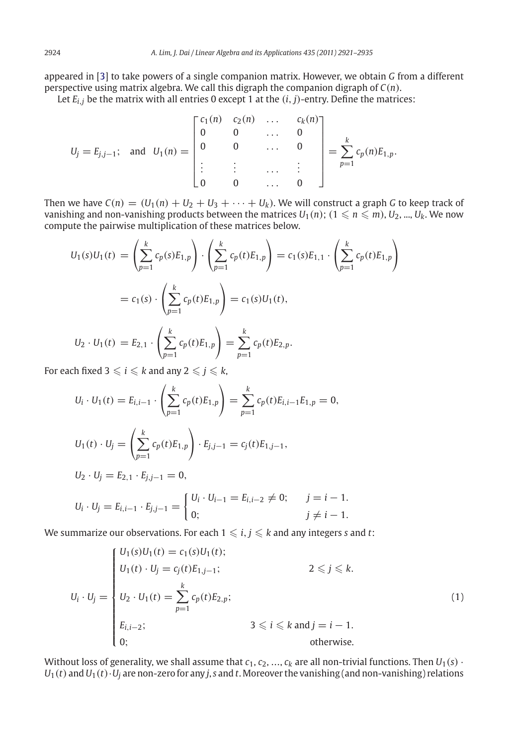appeared in [\[3\]](#page-14-3) to take powers of a single companion matrix. However, we obtain *G* from a different perspective using matrix algebra. We call this digraph the companion digraph of *C*(*n*).

Let  $E_{i,j}$  be the matrix with all entries 0 except 1 at the  $(i, j)$ -entry. Define the matrices:

$$
U_j = E_{j,j-1}; \text{ and } U_1(n) = \begin{bmatrix} c_1(n) & c_2(n) & \dots & c_k(n) \\ 0 & 0 & \dots & 0 \\ 0 & 0 & \dots & 0 \\ \vdots & \vdots & \dots & \vdots \\ 0 & 0 & \dots & 0 \end{bmatrix} = \sum_{p=1}^k c_p(n) E_{1,p}.
$$

Then we have  $C(n) = (U_1(n) + U_2 + U_3 + \cdots + U_k)$ . We will construct a graph G to keep track of vanishing and non-vanishing products between the matrices  $U_1(n)$ ;  $(1 \leqslant n \leqslant m)$ ,  $U_2$ , ...,  $U_k$ . We now compute the pairwise multiplication of these matrices below.

$$
U_1(s)U_1(t) = \left(\sum_{p=1}^k c_p(s)E_{1,p}\right) \cdot \left(\sum_{p=1}^k c_p(t)E_{1,p}\right) = c_1(s)E_{1,1} \cdot \left(\sum_{p=1}^k c_p(t)E_{1,p}\right)
$$
  
=  $c_1(s) \cdot \left(\sum_{p=1}^k c_p(t)E_{1,p}\right) = c_1(s)U_1(t),$   

$$
U_2 \cdot U_1(t) = E_{2,1} \cdot \left(\sum_{p=1}^k c_p(t)E_{1,p}\right) = \sum_{p=1}^k c_p(t)E_{2,p}.
$$

For each fixed  $3 \leqslant i \leqslant k$  and any  $2 \leqslant j \leqslant k$ ,

$$
U_i \cdot U_1(t) = E_{i,i-1} \cdot \left(\sum_{p=1}^k c_p(t) E_{1,p}\right) = \sum_{p=1}^k c_p(t) E_{i,i-1} E_{1,p} = 0,
$$
  
\n
$$
U_1(t) \cdot U_j = \left(\sum_{p=1}^k c_p(t) E_{1,p}\right) \cdot E_{j,j-1} = c_j(t) E_{1,j-1},
$$
  
\n
$$
U_2 \cdot U_j = E_{2,1} \cdot E_{j,j-1} = 0,
$$
  
\n
$$
U_i \cdot U_j = E_{i,i-1} \cdot E_{j,j-1} = \begin{cases} U_i \cdot U_{i-1} = E_{i,i-2} \neq 0; & j = i - 1, \\ 0; & j \neq i - 1. \end{cases}
$$

We summarize our observations. For each  $1 \leqslant i,j \leqslant k$  and any integers  $s$  and  $t$ :

<span id="page-3-0"></span>
$$
U_i \cdot U_j = \begin{cases} U_1(s)U_1(t) = c_1(s)U_1(t); \\ U_1(t) \cdot U_j = c_j(t)E_{1,j-1}; \\ U_2 \cdot U_1(t) = \sum_{p=1}^k c_p(t)E_{2,p}; \\ E_{i,i-2}; \\ 3 \leq i \leq k \text{ and } j = i-1. \\ 0; \end{cases}
$$
(1)

Without loss of generality, we shall assume that  $c_1, c_2, ..., c_k$  are all non-trivial functions. Then  $U_1(s)$  ·  $U_1(t)$  and  $U_1(t) \cdot U_j$  are non-zero for any *j*, *s* and *t*. Moreover the vanishing (and non-vanishing) relations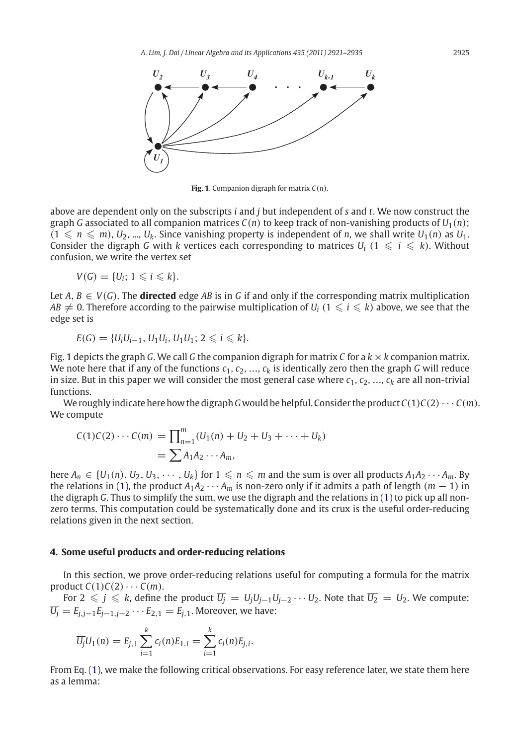

<span id="page-4-2"></span>**Fig. 1**. Companion digraph for matrix *C*(*n*).

above are dependent only on the subscripts *i* and *j* but independent of *s* and *t*. We now construct the graph *G* associated to all companion matrices  $C(n)$  to keep track of non-vanishing products of  $U_1(n)$ ;  $(1 \leq n \leq m)$ ,  $U_2$ , ...,  $U_k$ . Since vanishing property is independent of *n*, we shall write  $U_1(n)$  as  $U_1$ . Consider the digraph *G* with *k* vertices each corresponding to matrices  $U_i$   $(1 \leq i \leq k)$ . Without confusion, we write the vertex set

$$
V(G)=\{U_i; 1\leqslant i\leqslant k\}.
$$

Let  $A, B \in V(G)$ . The **directed** edge AB is in G if and only if the corresponding matrix multiplication  $AB\neq 0$ . Therefore according to the pairwise multiplication of  $U_i$   $(1\leqslant i\leqslant k)$  above, we see that the edge set is

$$
E(G) = \{U_i U_{i-1}, U_1 U_i, U_1 U_1; 2 \leq i \leq k\}.
$$

Fig. [1](#page-4-2) depicts the graph *G*. We call *G* the companion digraph for matrix *C* for a  $k \times k$  companion matrix. We note here that if any of the functions  $c_1, c_2, ..., c_k$  is identically zero then the graph *G* will reduce in size. But in this paper we will consider the most general case where  $c_1, c_2, ..., c_k$  are all non-trivial functions.

We roughly indicate here how the digraph G would be helpful. Consider the product  $C(1)C(2)\cdots C(m)$ . We compute

$$
C(1)C(2)\cdots C(m) = \prod_{n=1}^{m} (U_1(n) + U_2 + U_3 + \cdots + U_k)
$$
  
=  $\sum A_1 A_2 \cdots A_m$ ,

here  $A_n \in \{U_1(n), U_2, U_3, \cdots, U_k\}$  for  $1 \leqslant n \leqslant m$  and the sum is over all products  $A_1A_2\cdots A_m$ . By the relations in [\(1\)](#page-3-0), the product  $A_1A_2 \cdots A_m$  is non-zero only if it admits a path of length  $(m-1)$  in the digraph *G*. Thus to simplify the sum, we use the digraph and the relations in [\(1\)](#page-3-0) to pick up all nonzero terms. This computation could be systematically done and its crux is the useful order-reducing relations given in the next section.

#### <span id="page-4-0"></span>**4. Some useful products and order-reducing relations**

In this section, we prove order-reducing relations useful for computing a formula for the matrix product  $C(1)C(2)\cdots C(m)$ .

For 2  $\leqslant$   $j$   $\leqslant$   $k$ , define the product  $\overline{U_j}\,=\,U_jU_{j-1}U_{j-2}\cdots U_2.$  Note that  $\overline{U_2}\,=\,U_2.$  We compute:  $\overline{U_j} = E_{j,j-1}E_{j-1,j-2}\cdots E_{2,1} = E_{j,1}$ . Moreover, we have:

$$
\overline{U_j}U_1(n) = E_{j,1} \sum_{i=1}^k c_i(n)E_{1,i} = \sum_{i=1}^k c_i(n)E_{j,i}.
$$

<span id="page-4-1"></span>From Eq. [\(1\)](#page-3-0), we make the following critical observations. For easy reference later, we state them here as a lemma: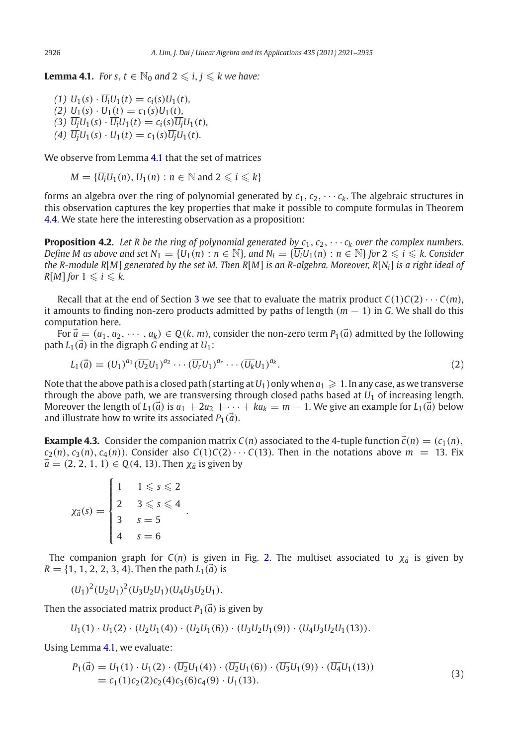**Lemma 4.1.** *For s,*  $t \in \mathbb{N}_0$  and  $2 \leq i, j \leq k$  we have:

 $(U_1 \cup U_1(s) \cdot \overline{U_i} U_1(t) = c_i(s) U_1(t)$  $(2) U_1(s) \cdot U_1(t) = c_1(s)U_1(t)$ ,  $(\overline{3}) \ \overline{U_i} U_1(s) \cdot \overline{U_i} U_1(t) = c_i(s) \overline{U_i} U_1(t)$  $(U_1 \cup U_1)(s) \cdot U_1(t) = c_1(s) \overline{U_1} U_1(t)$ .

We observe from Lemma [4.1](#page-4-1) that the set of matrices

 $M = {\overline{U_i}U_1(n), U_1(n) : n \in \mathbb{N} \text{ and } 2 \leqslant i \leqslant k}$ 

forms an algebra over the ring of polynomial generated by  $c_1, c_2, \cdots c_k$ . The algebraic structures in this observation captures the key properties that make it possible to compute formulas in Theorem [4.4.](#page-8-0) We state here the interesting observation as a proposition:

<span id="page-5-0"></span>**Proposition 4.2.** Let R be the ring of polynomial generated by  $c_1, c_2, \cdots c_k$  over the complex numbers. *Define M as above and set*  $N_1 = \{U_1(n) : n \in \mathbb{N}\}$ *, and*  $N_i = \{\overline{U_i U_1(n)} : n \in \mathbb{N}\}$  *for*  $2 \leqslant i \leqslant k$ *. Consider the R-module R*[*M*] *generated by the set M. Then R*[*M*] *is an R-algebra. Moreover, R*[*Ni*] *is a right ideal of*  $R[M]$  for  $1 \leqslant i \leqslant k$ .

Recall that at the end of Section [3](#page-2-0) we see that to evaluate the matrix product  $C(1)C(2)\cdots C(m)$ , it amounts to finding non-zero products admitted by paths of length  $(m - 1)$  in *G*. We shall do this computation here.

For  $\vec{a} = (a_1, a_2, \dots, a_k) \in Q(k, m)$ , consider the non-zero term  $P_1(\vec{a})$  admitted by the following path  $L_1(\vec{a})$  in the digraph *G* ending at  $U_1$ :

$$
L_1(\vec{a}) = (U_1)^{a_1} (\overline{U_2} U_1)^{a_2} \cdots (\overline{U_r} U_1)^{a_r} \cdots (\overline{U_k} U_1)^{a_k}.
$$
\n(2)

Note that the above path is a closed path (starting at  $U_1$ ) only when  $a_1 \geqslant 1$ . In any case, as we transverse through the above path, we are transversing through closed paths based at  $U_1$  of increasing length. Moreover the length of  $L_1(\vec{a})$  is  $a_1 + 2a_2 + \cdots + ka_k = m - 1$ . We give an example for  $L_1(\vec{a})$  below and illustrate how to write its associated  $P_1(\vec{a})$ .

**Example 4.3.** Consider the companion matrix  $C(n)$  associated to the 4-tuple function  $\vec{c}(n) = (c_1(n),$  $c_2(n), c_3(n), c_4(n)$ . Consider also  $C(1)C(2) \cdots C(13)$ . Then in the notations above  $m = 13$ . Fix  $\vec{a} = (2, 2, 1, 1) \in Q(4, 13)$ . Then  $\chi_{\vec{a}}$  is given by

$$
\chi_{\vec{a}}(s) = \begin{cases} 1 & 1 \leq s \leq 2 \\ 2 & 3 \leq s \leq 4 \\ 3 & s = 5 \\ 4 & s = 6 \end{cases}.
$$

The companion graph for  $C(n)$  is given in Fig. [2.](#page-6-0) The multiset associated to  $\chi_{\vec{a}}$  is given by  $R = \{1, 1, 2, 2, 3, 4\}$ . Then the path  $L_1(\vec{a})$  is

$$
(U_1)^2(U_2U_1)^2(U_3U_2U_1)(U_4U_3U_2U_1).
$$

Then the associated matrix product  $P_1(\vec{a})$  is given by

$$
U_1(1) \cdot U_1(2) \cdot (U_2U_1(4)) \cdot (U_2U_1(6)) \cdot (U_3U_2U_1(9)) \cdot (U_4U_3U_2U_1(13)).
$$

Using Lemma [4.1,](#page-4-1) we evaluate:

$$
P_1(\vec{a}) = U_1(1) \cdot U_1(2) \cdot (\overline{U_2}U_1(4)) \cdot (\overline{U_2}U_1(6)) \cdot (\overline{U_3}U_1(9)) \cdot (\overline{U_4}U_1(13))
$$
  
=  $c_1(1)c_2(2)c_2(4)c_3(6)c_4(9) \cdot U_1(13)$ . (3)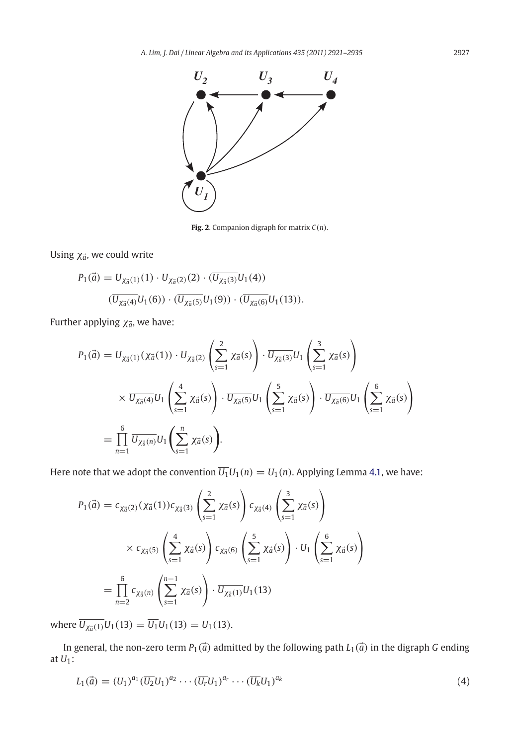

<span id="page-6-0"></span>**Fig. 2**. Companion digraph for matrix *C*(*n*).

Using χ<sub>ā</sub>, we could write

$$
P_1(\vec{a}) = U_{\chi_{\vec{a}}(1)}(1) \cdot U_{\chi_{\vec{a}}(2)}(2) \cdot (\overline{U_{\chi_{\vec{a}}(3)}} U_1(4))
$$

$$
(\overline{U_{\chi_{\vec{a}}(4)}} U_1(6)) \cdot (\overline{U_{\chi_{\vec{a}}(5)}} U_1(9)) \cdot (\overline{U_{\chi_{\vec{a}}(6)}} U_1(13)).
$$

Further applying  $\chi_{\vec{a}}$ , we have:

$$
P_1(\vec{a}) = U_{\chi_{\vec{a}}(1)}(\chi_{\vec{a}}(1)) \cdot U_{\chi_{\vec{a}}(2)} \left(\sum_{s=1}^2 \chi_{\vec{a}}(s)\right) \cdot \overline{U_{\chi_{\vec{a}}(3)}} U_1 \left(\sum_{s=1}^3 \chi_{\vec{a}}(s)\right)
$$

$$
\times \overline{U_{\chi_{\vec{a}}(4)}} U_1 \left(\sum_{s=1}^4 \chi_{\vec{a}}(s)\right) \cdot \overline{U_{\chi_{\vec{a}}(5)}} U_1 \left(\sum_{s=1}^5 \chi_{\vec{a}}(s)\right) \cdot \overline{U_{\chi_{\vec{a}}(6)}} U_1 \left(\sum_{s=1}^6 \chi_{\vec{a}}(s)\right)
$$

$$
= \prod_{n=1}^6 \overline{U_{\chi_{\vec{a}}(n)}} U_1 \left(\sum_{s=1}^n \chi_{\vec{a}}(s)\right).
$$

Here note that we adopt the convention  $\overline{U_1}U_1(n) = U_1(n)$ . Applying Lemma [4.1,](#page-4-1) we have:

$$
P_1(\vec{a}) = c_{\chi_{\vec{a}}(2)}(\chi_{\vec{a}}(1))c_{\chi_{\vec{a}}(3)} \left(\sum_{s=1}^2 \chi_{\vec{a}}(s)\right) c_{\chi_{\vec{a}}(4)} \left(\sum_{s=1}^3 \chi_{\vec{a}}(s)\right)
$$
  
 
$$
\times c_{\chi_{\vec{a}}(5)} \left(\sum_{s=1}^4 \chi_{\vec{a}}(s)\right) c_{\chi_{\vec{a}}(6)} \left(\sum_{s=1}^5 \chi_{\vec{a}}(s)\right) \cdot U_1 \left(\sum_{s=1}^6 \chi_{\vec{a}}(s)\right)
$$
  
= 
$$
\prod_{n=2}^6 c_{\chi_{\vec{a}}(n)} \left(\sum_{s=1}^{n-1} \chi_{\vec{a}}(s)\right) \cdot \overline{U_{\chi_{\vec{a}}(1)}} U_1(13)
$$

 $\overline{U_{\chi_{\vec{a}}(1)}} U_1(13) = \overline{U_1} U_1(13) = U_1(13).$ 

In general, the non-zero term  $P_1(\vec{a})$  admitted by the following path  $L_1(\vec{a})$  in the digraph  $G$  ending at *U*1:

$$
L_1(\vec{a}) = (U_1)^{a_1} (\overline{U_2} U_1)^{a_2} \cdots (\overline{U_r} U_1)^{a_r} \cdots (\overline{U_k} U_1)^{a_k}
$$
\n(4)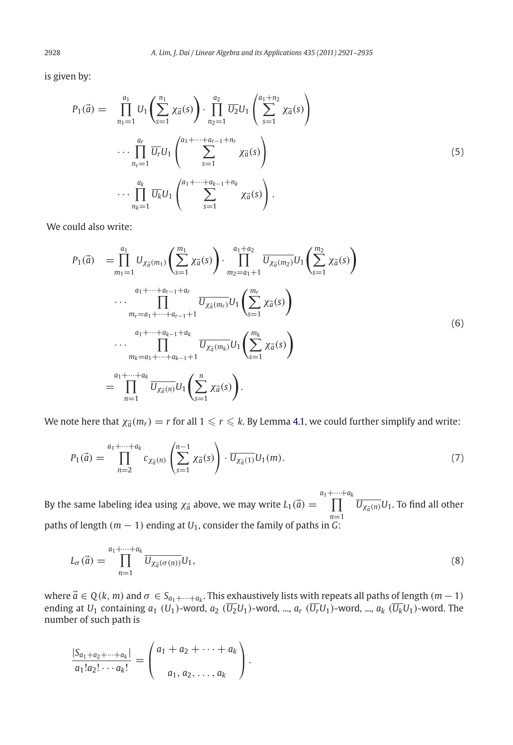is given by:

$$
P_{1}(\vec{a}) = \prod_{n_{1}=1}^{a_{1}} U_{1} \left( \sum_{s=1}^{n_{1}} \chi_{\vec{a}}(s) \right) \cdot \prod_{n_{2}=1}^{a_{2}} \overline{U_{2}} U_{1} \left( \sum_{s=1}^{a_{1}+n_{2}} \chi_{\vec{a}}(s) \right)
$$
  

$$
\cdots \prod_{n_{r}=1}^{a_{r}} \overline{U_{r}} U_{1} \left( \sum_{s=1}^{a_{1}+\cdots+a_{r-1}+n_{r}} \chi_{\vec{a}}(s) \right)
$$
  

$$
\cdots \prod_{n_{k}=1}^{a_{k}} \overline{U_{k}} U_{1} \left( \sum_{s=1}^{a_{1}+\cdots+a_{k-1}+n_{k}} \chi_{\vec{a}}(s) \right).
$$
  
(5)

We could also write:

$$
P_{1}(\vec{a}) = \prod_{m_{1}=1}^{a_{1}} U_{\chi_{\vec{a}}(m_{1})} \left( \sum_{s=1}^{m_{1}} \chi_{\vec{a}}(s) \right) \cdot \prod_{m_{2}=a_{1}+1}^{a_{1}+a_{2}} \overline{U_{\chi_{\vec{a}}(m_{2})}} U_{1} \left( \sum_{s=1}^{m_{2}} \chi_{\vec{a}}(s) \right)
$$
  

$$
\cdots \prod_{m_{r}=a_{1}+\cdots+a_{r-1}+1}^{a_{1}+\cdots+a_{r-1}+a_{r}} \overline{U_{\chi_{\vec{a}}(m_{r})}} U_{1} \left( \sum_{s=1}^{m_{r}} \chi_{\vec{a}}(s) \right)
$$
  

$$
\cdots \prod_{m_{k}=a_{1}+\cdots+a_{k-1}+1}^{a_{1}+\cdots+a_{k-1}+a_{k}} \overline{U_{\chi_{\vec{a}}(m_{k})}} U_{1} \left( \sum_{s=1}^{m_{k}} \chi_{\vec{a}}(s) \right)
$$
  

$$
= \prod_{n=1}^{a_{1}+\cdots+a_{k}} \overline{U_{\chi_{\vec{a}}(n)}} U_{1} \left( \sum_{s=1}^{n} \chi_{\vec{a}}(s) \right).
$$
  
(6)

We note here that  $\chi_{\vec{a}}(m_r) = r$  for all  $1 \leqslant r \leqslant k$ . By Lemma [4.1,](#page-4-1) we could further simplify and write:

$$
P_1(\vec{a}) = \prod_{n=2}^{a_1 + \dots + a_k} c_{\chi_{\vec{a}}(n)} \left( \sum_{s=1}^{n-1} \chi_{\vec{a}}(s) \right) \cdot \overline{U_{\chi_{\vec{a}}(1)}} U_1(m). \tag{7}
$$

By the same labeling idea using  $\chi_{\vec{a}}$  above, we may write  $L_1(\vec{a}) =$  $\prod^{a_1+\cdots+a_k}\overline{U_{\chi_a^- (n)}}U_1.$  To find all other *n*=1 paths of length (*m* − 1) ending at *U*1, consider the family of paths in *G*:

$$
L_{\sigma}(\vec{a}) = \prod_{n=1}^{a_1 + \dots + a_k} \overline{U_{\chi_{\vec{a}}(\sigma(n))}} U_1,
$$
\n
$$
(8)
$$

where  $\vec{a} \in Q(k, m)$  and  $\sigma \in S_{a_1 + \cdots + a_k}$ . This exhaustively lists with repeats all paths of length  $(m - 1)$ ending at  $U_1$  containing  $a_1$  ( $U_1$ )-word,  $a_2$  ( $\overline{U_2}U_1$ )-word, ...,  $a_r$  ( $\overline{U_r}U_1$ )-word, ...,  $a_k$  ( $\overline{U_k}U_1$ )-word. The number of such path is

$$
\frac{|S_{a_1+a_2+\cdots+a_k}|}{a_1!a_2!\cdots a_k!} = \begin{pmatrix} a_1 + a_2 + \cdots + a_k \\ a_1, a_2, \ldots, a_k \end{pmatrix}.
$$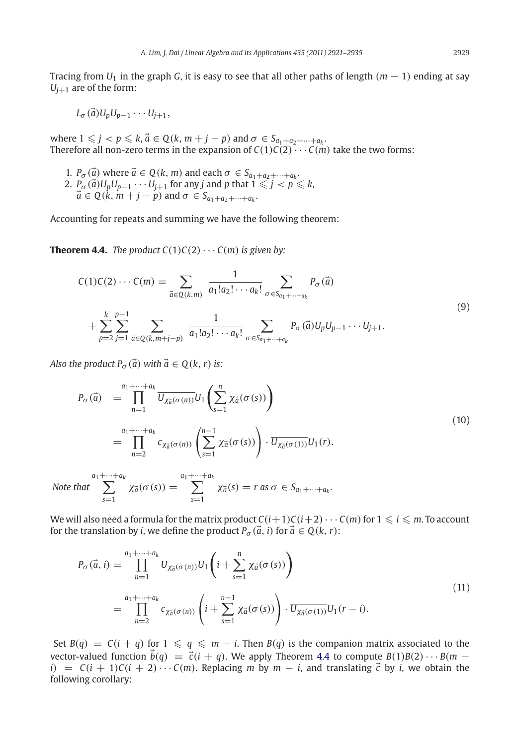Tracing from  $U_1$  in the graph *G*, it is easy to see that all other paths of length  $(m - 1)$  ending at say  $U_{i+1}$  are of the form:

$$
L_{\sigma}(\vec{a})U_pU_{p-1}\cdots U_{j+1},
$$

where  $1 \leq j < p \leq k$ ,  $\vec{a} \in Q(k, m+j-p)$  and  $\sigma \in S_{a_1+a_2+\cdots+a_k}$ . Therefore all non-zero terms in the expansion of  $C(1)C(2) \cdots C(m)$  take the two forms:

1. *P*<sub> $\sigma$ </sub> ( $\vec{a}$ ) where  $\vec{a} \in Q(k, m)$  and each  $\sigma \in S_{a_1 + a_2 + \cdots + a_k}$ .  $2.$   $\mathcal{P}_{\sigma}(\vec{a})U_pU_{p-1}\cdots U_{j+1}$  for any  $j$  and  $p$  that  $1\leqslant j < p \leqslant k,$  $\vec{a} \in Q(k, m+j-p)$  and  $\sigma \in S_{a_1+a_2+\cdots+a_k}$ .

<span id="page-8-0"></span>Accounting for repeats and summing we have the following theorem:

**Theorem 4.4.** *The product*  $C(1)C(2) \cdots C(m)$  *is given by:* 

$$
C(1)C(2)\cdots C(m) = \sum_{\vec{a}\in Q(k,m)} \frac{1}{a_1!a_2!\cdots a_k!} \sum_{\sigma \in S_{a_1+\cdots+a_k}} P_{\sigma}(\vec{a})
$$
  
+ 
$$
\sum_{p=2}^k \sum_{j=1}^{p-1} \sum_{\vec{a}\in Q(k,m+j-p)} \frac{1}{a_1!a_2!\cdots a_k!} \sum_{\sigma \in S_{a_1+\cdots+a_k}} P_{\sigma}(\vec{a})U_pU_{p-1}\cdots U_{j+1}.
$$
  
(9)

*Also the product*  $P_{\sigma}(\vec{a})$  *with*  $\vec{a} \in Q(k, r)$  *is:* 

$$
P_{\sigma}(\vec{a}) = \prod_{n=1}^{a_1 + \dots + a_k} \overline{U_{\chi_{\vec{a}}(\sigma(n))}} U_1 \left( \sum_{s=1}^n \chi_{\vec{a}}(\sigma(s)) \right)
$$
  
\n
$$
= \prod_{n=2}^{a_1 + \dots + a_k} c_{\chi_{\vec{a}}(\sigma(n))} \left( \sum_{s=1}^{n-1} \chi_{\vec{a}}(\sigma(s)) \right) \cdot \overline{U_{\chi_{\vec{a}}(\sigma(1))}} U_1(r).
$$
\n
$$
(10)
$$

 $\sum_{a_1+\cdots+a_k}^{a_1+\cdots+a_k}$ *s*=1  $\chi_{\vec{a}}(\sigma(s)) = \sum_{k=1}^{a_1+\cdots+a_k}$ *s*=1  $\chi_{\vec{a}}(s) = r$  as  $\sigma \in S_{a_1 + \cdots + a_k}$ .

We will also need a formula for the matrix product  $C(i+1)C(i+2)\cdots C(m)$  for  $1\leqslant i\leqslant m.$  To account for the translation by *i*, we define the product  $P_{\sigma}(\vec{a}, i)$  for  $\vec{a} \in Q(k, r)$ :

$$
P_{\sigma}(\vec{a},i) = \prod_{n=1}^{a_1+\cdots+a_k} \overline{U_{\chi_{\vec{a}}(\sigma(n))}} U_1 \left(i + \sum_{s=1}^n \chi_{\vec{a}}(\sigma(s))\right)
$$
  

$$
= \prod_{n=2}^{a_1+\cdots+a_k} c_{\chi_{\vec{a}}(\sigma(n))} \left(i + \sum_{s=1}^{n-1} \chi_{\vec{a}}(\sigma(s))\right) \cdot \overline{U_{\chi_{\vec{a}}(\sigma(1))}} U_1(r-i).
$$
 (11)

<span id="page-8-1"></span>Set  $B(q) = C(i + q)$  for  $1 \leqslant q \leqslant m - i$ . Then  $B(q)$  is the companion matrix associated to the vector-valued function  $\vec{b}(q) = \vec{c}(i + q)$ . We apply Theorem [4.4](#page-8-0) to compute  $B(1)B(2) \cdots B(m - q)$  $i)$  =  $C(i + 1)C(i + 2) \cdots C(m)$ . Replacing *m* by *m* − *i*, and translating  $\vec{c}$  by *i*, we obtain the following corollary: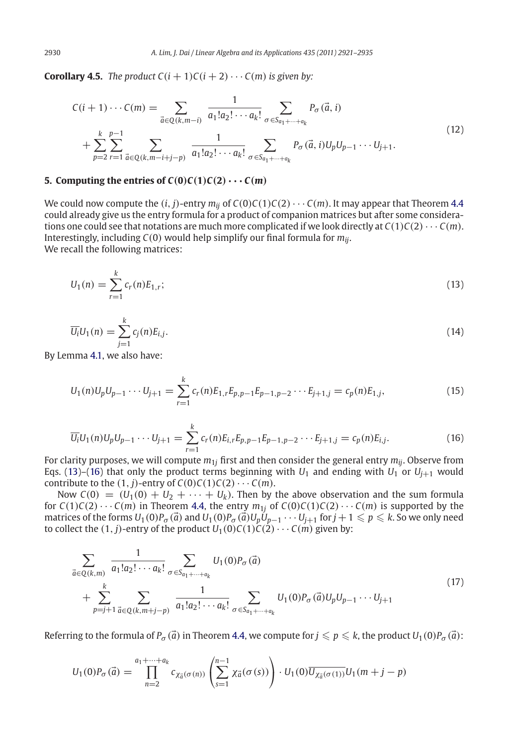**Corollary 4.5.** *The product*  $C(i + 1)C(i + 2) \cdots C(m)$  *is given by:* 

$$
C(i+1)\cdots C(m) = \sum_{\vec{a}\in Q(k,m-i)} \frac{1}{a_1!a_2!\cdots a_k!} \sum_{\sigma \in S_{a_1+\cdots+a_k}} P_{\sigma}(\vec{a},i)
$$
  
+ 
$$
\sum_{p=2}^k \sum_{r=1}^{p-1} \sum_{\vec{a}\in Q(k,m-i+j-p)} \frac{1}{a_1!a_2!\cdots a_k!} \sum_{\sigma \in S_{a_1+\cdots+a_k}} P_{\sigma}(\vec{a},i)U_pU_{p-1}\cdots U_{j+1}.
$$
 (12)

#### <span id="page-9-0"></span>**5. Computing the entries of**  $C(0)C(1)C(2) \cdots C(m)$

We could now compute the  $(i, j)$ -entry  $m_{ij}$  of  $C(0)C(1)C(2) \cdots C(m)$ . It may appear that Theorem [4.4](#page-8-0) could already give us the entry formula for a product of companion matrices but after some considerations one could see that notations are much more complicated if we look directly at  $C(1)C(2)\cdots C(m)$ . Interestingly, including *C*(0) would help simplify our final formula for *mij*. We recall the following matrices:

<span id="page-9-1"></span>
$$
U_1(n) = \sum_{r=1}^{k} c_r(n) E_{1,r};
$$
\n(13)

$$
\overline{U_i}U_1(n) = \sum_{j=1}^k c_j(n)E_{i,j}.
$$
\n(14)

By Lemma [4.1,](#page-4-1) we also have:

$$
U_1(n)U_pU_{p-1}\cdots U_{j+1} = \sum_{r=1}^k c_r(n)E_{1,r}E_{p,p-1}E_{p-1,p-2}\cdots E_{j+1,j} = c_p(n)E_{1,j},
$$
\n(15)

$$
\overline{U_i}U_1(n)U_pU_{p-1}\cdots U_{j+1} = \sum_{r=1}^k c_r(n)E_{i,r}E_{p,p-1}E_{p-1,p-2}\cdots E_{j+1,j} = c_p(n)E_{i,j}.
$$
\n(16)

<span id="page-9-2"></span>For clarity purposes, we will compute  $m_{1i}$  first and then consider the general entry  $m_{ii}$ . Observe from Eqs. [\(13\)](#page-9-1)–[\(16\)](#page-9-2) that only the product terms beginning with  $U_1$  and ending with  $U_1$  or  $U_{i+1}$  would contribute to the  $(1, j)$ -entry of  $C(0)C(1)C(2) \cdots C(m)$ .

Now  $C(0) = (U_1(0) + U_2 + \cdots + U_k)$ . Then by the above observation and the sum formula for  $C(1)C(2)\cdots C(m)$  in Theorem [4.4,](#page-8-0) the entry  $m_{1j}$  of  $C(0)C(1)C(2)\cdots C(m)$  is supported by the  $m$ atrices of the forms  $U_1(0)P_\sigma(\vec{a})$  and  $U_1(0)P_\sigma(\vec{a})U_p\dot{U}_{p-1}\cdots U_{j+1}$  for  $j+1\leqslant p\leqslant k.$  So we only need to collect the  $(1, j)$ -entry of the product  $U_1(0)C(1)\dot{C}(2)\cdots C(m)$  given by:

<span id="page-9-3"></span>
$$
\sum_{\vec{a}\in Q(k,m)} \frac{1}{a_1!a_2!\cdots a_k!} \sum_{\sigma \in S_{a_1+\cdots+a_k}} U_1(0)P_{\sigma}(\vec{a}) + \sum_{p=j+1}^k \sum_{\vec{a}\in Q(k,m+j-p)} \frac{1}{a_1!a_2!\cdots a_k!} \sum_{\sigma \in S_{a_1+\cdots+a_k}} U_1(0)P_{\sigma}(\vec{a})U_pU_{p-1}\cdots U_{j+1}
$$
\n(17)

Referring to the formula of  $P_\sigma(\vec{a})$  in Theorem [4.4,](#page-8-0) we compute for  $j\leqslant p\leqslant k$ , the product  $U_1(0)P_\sigma(\vec{a})$ :

$$
U_1(0)P_{\sigma}(\vec{a}) = \prod_{n=2}^{a_1+\dots+a_k} c_{\chi_{\vec{a}}(\sigma(n))} \left( \sum_{s=1}^{n-1} \chi_{\vec{a}}(\sigma(s)) \right) \cdot U_1(0) \overline{U_{\chi_{\vec{a}}(\sigma(1))}} U_1(m+j-p)
$$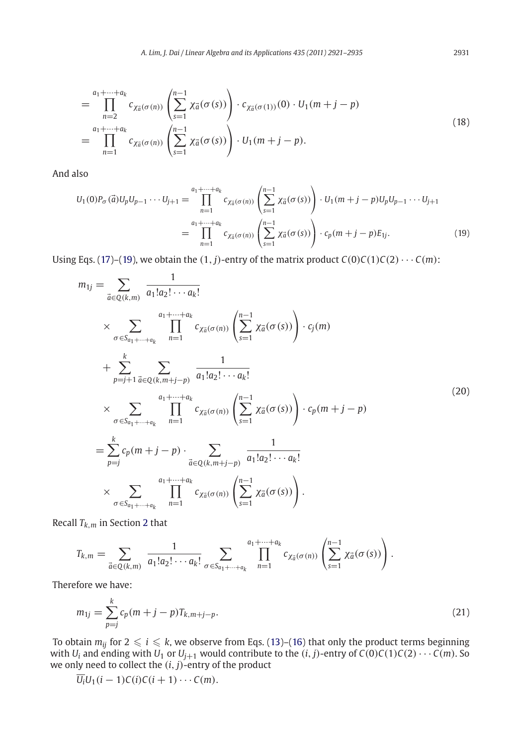<span id="page-10-0"></span>
$$
= \prod_{n=2}^{a_1 + \dots + a_k} c_{\chi_{\vec{a}}(\sigma(n))} \left( \sum_{s=1}^{n-1} \chi_{\vec{a}}(\sigma(s)) \right) \cdot c_{\chi_{\vec{a}}(\sigma(1))}(0) \cdot U_1(m+j-p)
$$
  

$$
= \prod_{n=1}^{a_1 + \dots + a_k} c_{\chi_{\vec{a}}(\sigma(n))} \left( \sum_{s=1}^{n-1} \chi_{\vec{a}}(\sigma(s)) \right) \cdot U_1(m+j-p).
$$
 (18)

And also

$$
U_1(0)P_{\sigma}(\vec{a})U_pU_{p-1}\cdots U_{j+1} = \prod_{n=1}^{a_1+\cdots+a_k} c_{\chi_{\vec{a}}(\sigma(n))}\left(\sum_{s=1}^{n-1} \chi_{\vec{a}}(\sigma(s))\right) \cdot U_1(m+j-p)U_pU_{p-1}\cdots U_{j+1}
$$
  

$$
= \prod_{n=1}^{a_1+\cdots+a_k} c_{\chi_{\vec{a}}(\sigma(n))}\left(\sum_{s=1}^{n-1} \chi_{\vec{a}}(\sigma(s))\right) \cdot c_p(m+j-p)E_{1j}.
$$
 (19)

Using Eqs. [\(17\)](#page-9-3)–[\(19\)](#page-10-0), we obtain the  $(1, j)$ -entry of the matrix product  $C(0)C(1)C(2)\cdots C(m)$ :

$$
m_{1j} = \sum_{\vec{a} \in Q(k,m)} \frac{1}{a_1! a_2! \cdots a_k!} \times \sum_{\sigma \in S_{a_1 + \cdots + a_k}} \prod_{n=1}^{a_1 + \cdots + a_k} c_{\chi_{\vec{a}}(\sigma(n))} \left( \sum_{s=1}^{n-1} \chi_{\vec{a}}(\sigma(s)) \right) \cdot c_j(m) + \sum_{p=j+1}^k \sum_{\vec{a} \in Q(k,m+j-p)} \frac{1}{a_1! a_2! \cdots a_k!} \times \sum_{\sigma \in S_{a_1 + \cdots + a_k}} \prod_{n=1}^{a_1 + \cdots + a_k} c_{\chi_{\vec{a}}(\sigma(n))} \left( \sum_{s=1}^{n-1} \chi_{\vec{a}}(\sigma(s)) \right) \cdot c_p(m+j-p) = \sum_{p=j}^k c_p(m+j-p) \cdot \sum_{\vec{a} \in Q(k,m+j-p)} \frac{1}{a_1! a_2! \cdots a_k!} \times \sum_{\sigma \in S_{a_1 + \cdots + a_k}} \prod_{n=1}^{a_1 + \cdots + a_k} c_{\chi_{\vec{a}}(\sigma(n))} \left( \sum_{s=1}^{n-1} \chi_{\vec{a}}(\sigma(s)) \right).
$$
\n(20)

Recall *Tk*,*<sup>m</sup>* in Section [2](#page-1-0) that

$$
T_{k,m}=\sum_{\vec{a}\in Q(k,m)}\frac{1}{a_1!a_2!\cdots a_k!}\sum_{\sigma\in S_{a_1+\cdots+a_k}}\prod_{n=1}^{a_1+\cdots+a_k}c_{\chi_{\vec{a}}(\sigma(n))}\left(\sum_{s=1}^{n-1}\chi_{\vec{a}}(\sigma(s))\right).
$$

<span id="page-10-1"></span>Therefore we have:

$$
m_{1j} = \sum_{p=j}^{k} c_p (m+j-p) T_{k,m+j-p}.
$$
\n(21)

To obtain  $m_{ij}$  for 2  $\leqslant$  *i*  $\leqslant$  *k*, we observe from Eqs. [\(13\)](#page-9-1)–[\(16\)](#page-9-2) that only the product terms beginning with *U<sub>i</sub>* and ending with *U*<sub>1</sub> or *U*<sub>j+1</sub> would contribute to the  $(i, j)$ -entry of  $C(0)C(1)C(2) \cdots C(m)$ . So we only need to collect the (*i*, *j*)-entry of the product

$$
\overline{U_i}U_1(i-1)C(i)C(i+1)\cdots C(m).
$$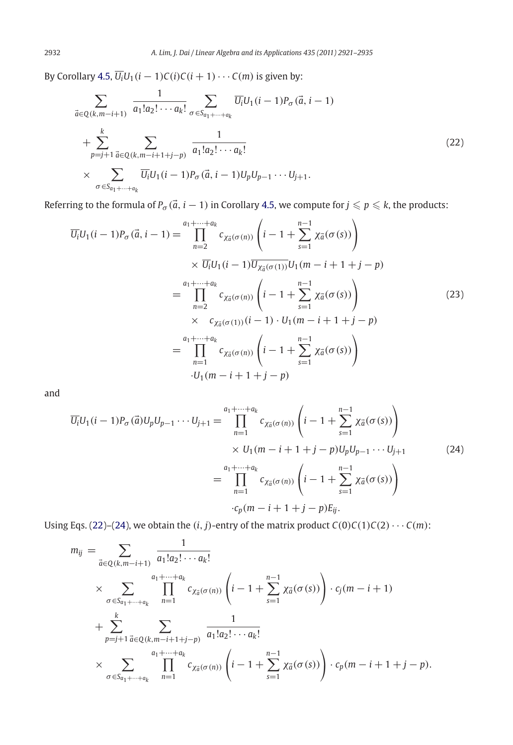By Corollary [4.5,](#page-8-1)  $\overline{U_i}U_1(i-1)C(i)C(i+1)\cdots C(m)$  is given by:

$$
\sum_{\vec{a}\in Q(k,m-i+1)} \frac{1}{a_1!a_2!\cdots a_k!} \sum_{\sigma \in S_{a_1+\cdots+a_k}} \overline{U_i} U_1(i-1) P_{\sigma}(\vec{a}, i-1) \n+ \sum_{p=j+1}^k \sum_{\vec{a}\in Q(k,m-i+1+j-p)} \frac{1}{a_1!a_2!\cdots a_k!} \n\times \sum_{\sigma \in S_{a_1+\cdots+a_k}} \overline{U_i} U_1(i-1) P_{\sigma}(\vec{a}, i-1) U_p U_{p-1}\cdots U_{j+1}.
$$
\n(22)

Referring to the formula of  $P_{\sigma}(\vec{a},i-1)$  in Corollary [4.5,](#page-8-1) we compute for  $j\leqslant p\leqslant k$ , the products:

*UiU*1(*i* − 1)*P*<sup>σ</sup> (*a*, *i* − 1) = *a*1+···+ *ak n*=2 *c*χ*<sup>a</sup>*(σ (*n*)) ⎛ <sup>⎝</sup>*<sup>i</sup>* <sup>−</sup> <sup>1</sup> <sup>+</sup> *n* −1 *s*=1 χ*<sup>a</sup>*(σ (*s*)) ⎞ ⎠ × *UiU*1(*<sup>i</sup>* − <sup>1</sup>)*U*χ*<sup>a</sup>*(σ (1))*U*1(*<sup>m</sup>* − *<sup>i</sup>* + <sup>1</sup> + *<sup>j</sup>* − *<sup>p</sup>*) = *a*1+···+ *ak n*=2 *c*χ*<sup>a</sup>*(σ (*n*)) ⎛ <sup>⎝</sup>*<sup>i</sup>* <sup>−</sup> <sup>1</sup> <sup>+</sup> *n* −1 *s*=1 χ*<sup>a</sup>*(σ (*s*)) ⎞ <sup>⎠</sup> (23) × *<sup>c</sup>*χ*<sup>a</sup>*(σ (1))(*<sup>i</sup>* − <sup>1</sup>) · *<sup>U</sup>*1(*<sup>m</sup>* − *<sup>i</sup>* + <sup>1</sup> + *<sup>j</sup>* − *<sup>p</sup>*) = *a*1+···+ *ak n*=1 *c*χ*<sup>a</sup>*(σ (*n*)) ⎛ <sup>⎝</sup>*<sup>i</sup>* <sup>−</sup> <sup>1</sup> <sup>+</sup> *n* −1 *s*=1 χ*<sup>a</sup>*(σ (*s*)) ⎞ ⎠ ·*U*1(*m* − *i* + 1 + *j* − *p*)

and

$$
\overline{U_i}U_1(i-1)P_{\sigma}(\vec{a})U_pU_{p-1}\cdots U_{j+1} = \prod_{n=1}^{a_1+\cdots+a_k} c_{\chi_{\vec{a}}(\sigma(n))}\left(i-1+\sum_{s=1}^{n-1} \chi_{\vec{a}}(\sigma(s))\right) \\
\times U_1(m-i+1+j-p)U_pU_{p-1}\cdots U_{j+1} \\
= \prod_{n=1}^{a_1+\cdots+a_k} c_{\chi_{\vec{a}}(\sigma(n))}\left(i-1+\sum_{s=1}^{n-1} \chi_{\vec{a}}(\sigma(s))\right) \\
\cdot c_p(m-i+1+j-p)E_{ij}.
$$
\n(24)

Using Eqs. [\(22\)](#page-10-1)–[\(24\)](#page-10-1), we obtain the  $(i, j)$ -entry of the matrix product  $C(0)C(1)C(2)\cdots C(m)$ :

$$
m_{ij} = \sum_{\vec{a} \in Q(k,m-i+1)} \frac{1}{a_1! a_2! \cdots a_k!}
$$
  
\n
$$
\times \sum_{\sigma \in S_{a_1 + \cdots + a_k}} \prod_{n=1}^{a_1 + \cdots + a_k} c_{\chi_{\vec{a}}(\sigma(n))} \left( i - 1 + \sum_{s=1}^{n-1} \chi_{\vec{a}}(\sigma(s)) \right) \cdot c_j(m - i + 1)
$$
  
\n
$$
+ \sum_{p=j+1}^k \sum_{\vec{a} \in Q(k,m-i+1+j-p)} \frac{1}{a_1! a_2! \cdots a_k!}
$$
  
\n
$$
\times \sum_{\sigma \in S_{a_1 + \cdots + a_k}} \prod_{n=1}^{a_1 + \cdots + a_k} c_{\chi_{\vec{a}}(\sigma(n))} \left( i - 1 + \sum_{s=1}^{n-1} \chi_{\vec{a}}(\sigma(s)) \right) \cdot c_p(m - i + 1 + j - p).
$$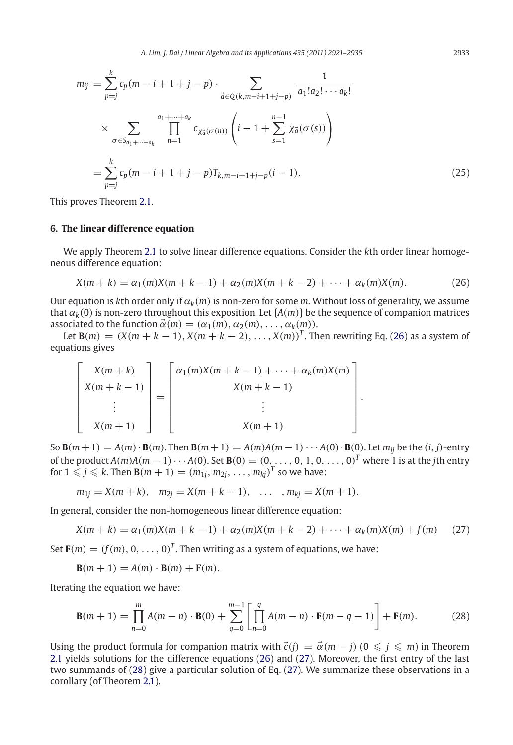$$
m_{ij} = \sum_{p=j}^{k} c_p(m - i + 1 + j - p) \cdot \sum_{\vec{a} \in Q(k, m-i+1+j-p)} \frac{1}{a_1! a_2! \cdots a_k!}
$$
  
 
$$
\times \sum_{\sigma \in S_{a_1 + \cdots + a_k}} \prod_{n=1}^{a_1 + \cdots + a_k} c_{\chi_{\vec{a}}(\sigma(n))} \left( i - 1 + \sum_{s=1}^{n-1} \chi_{\vec{a}}(\sigma(s)) \right)
$$
  

$$
= \sum_{p=j}^{k} c_p(m - i + 1 + j - p) T_{k, m-i+1+j-p} (i - 1).
$$
 (25)

This proves Theorem [2.1.](#page-2-1)

#### <span id="page-12-1"></span>**6. The linear difference equation**

We apply Theorem [2.1](#page-2-1) to solve linear difference equations. Consider the *k*th order linear homogeneous difference equation:

<span id="page-12-2"></span>
$$
X(m+k) = \alpha_1(m)X(m+k-1) + \alpha_2(m)X(m+k-2) + \dots + \alpha_k(m)X(m). \tag{26}
$$

<span id="page-12-3"></span>.

Our equation is *k*th order only if  $\alpha_k(m)$  is non-zero for some *m*. Without loss of generality, we assume that  $\alpha_k(0)$  is non-zero throughout this exposition. Let  $\{A(m)\}$  be the sequence of companion matrices associated to the function  $\vec{\alpha}(m) = (\alpha_1(m), \alpha_2(m), \ldots, \alpha_k(m)).$ 

Let **B**(*m*) = (*X*(*m* + *k* − 1), *X*(*m* + *k* − 2), . . . , *X*(*m*))<sup>*T*</sup>. Then rewriting Eq. [\(26\)](#page-12-2) as a system of equations gives

$$
\begin{bmatrix}\nX(m+k) \\
X(m+k-1) \\
\vdots \\
X(m+1)\n\end{bmatrix} = \begin{bmatrix}\n\alpha_1(m)X(m+k-1) + \cdots + \alpha_k(m)X(m) \\
X(m+k-1) \\
\vdots \\
X(m+1)\n\end{bmatrix}
$$

So **B**( $m+1$ ) =  $A(m) \cdot$  **B**( $m$ ). Then **B**( $m+1$ ) =  $A(m)A(m-1) \cdot \cdot \cdot A(0) \cdot$  **B**(0). Let  $m_{ij}$  be the (*i*, *j*)-entry of the product *A*(*m*)*A*(*m* − 1) · · · *A*(0). Set **B**(0) = (0, . . . , 0, 1, 0, . . . , 0)<sup>*T*</sup> where 1 is at the *j*th entry for  $1 \leqslant j \leqslant k$ . Then  $\mathbf{B}(m+1) = (m_{1j}, m_{2j}, \ldots, m_{kj})^T$  so we have:

$$
m_{1j} = X(m+k), \quad m_{2j} = X(m+k-1), \quad \dots \quad, m_{kj} = X(m+1).
$$

In general, consider the non-homogeneous linear difference equation:

$$
X(m+k) = \alpha_1(m)X(m+k-1) + \alpha_2(m)X(m+k-2) + \dots + \alpha_k(m)X(m) + f(m)
$$
 (27)

Set  $\mathbf{F}(m) = (f(m), 0, \ldots, 0)^T$ . Then writing as a system of equations, we have:

$$
\mathbf{B}(m+1) = A(m) \cdot \mathbf{B}(m) + \mathbf{F}(m).
$$

Iterating the equation we have:

<span id="page-12-4"></span>
$$
\mathbf{B}(m+1) = \prod_{n=0}^{m} A(m-n) \cdot \mathbf{B}(0) + \sum_{q=0}^{m-1} \left[ \prod_{n=0}^{q} A(m-n) \cdot \mathbf{F}(m-q-1) \right] + \mathbf{F}(m). \tag{28}
$$

<span id="page-12-0"></span>Using the product formula for companion matrix with  $\vec{c}(j) = \vec{\alpha}(m - j)$  ( $0 \leqslant j \leqslant m$ ) in Theorem [2.1](#page-2-1) yields solutions for the difference equations [\(26\)](#page-12-2) and [\(27\)](#page-12-3). Moreover, the first entry of the last two summands of [\(28\)](#page-12-4) give a particular solution of Eq. [\(27\)](#page-12-3). We summarize these observations in a corollary (of Theorem [2.1\)](#page-2-1).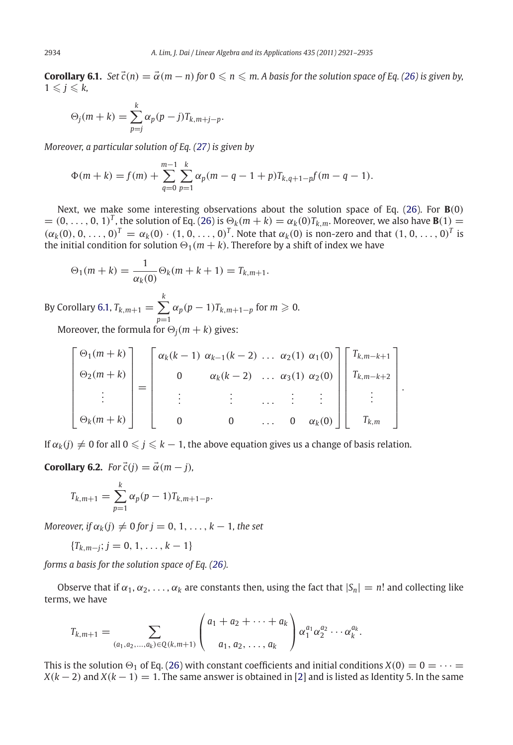**Corollary 6.1.** Set  $\vec{c}(n) = \vec{\alpha}(m-n)$  for  $0 \leq n \leq m$ . A basis for the solution space of Eq. [\(26\)](#page-12-2) is given by,  $1 \leqslant j \leqslant k$ ,

$$
\Theta_j(m+k) = \sum_{p=j}^k \alpha_p(p-j) T_{k,m+j-p}.
$$

*Moreover, a particular solution of Eq. [\(27\)](#page-12-3) is given by*

$$
\Phi(m+k) = f(m) + \sum_{q=0}^{m-1} \sum_{p=1}^{k} \alpha_p(m-q-1+p) T_{k,q+1-p} f(m-q-1).
$$

Next, we make some interesting observations about the solution space of Eq. [\(26\)](#page-12-2). For **B**(0)  $=(0,\ldots, 0, 1)^T$ , the solution of Eq. [\(26\)](#page-12-2) is  $\Theta_k(m + k) = \alpha_k(0)T_{k,m}$ . Moreover, we also have **B**(1) =  $(\alpha_k(0), 0, \ldots, 0)^T = \alpha_k(0) \cdot (1, 0, \ldots, 0)^T$ . Note that  $\alpha_k(0)$  is non-zero and that  $(1, 0, \ldots, 0)^T$  is the initial condition for solution  $\Theta_1(m + k)$ . Therefore by a shift of index we have

$$
\Theta_1(m+k) = \frac{1}{\alpha_k(0)} \Theta_k(m+k+1) = T_{k,m+1}.
$$

By Corollary [6.1,](#page-12-0)  $T_{k,m+1} = \sum^{k}$ *p*=1  $\alpha_p(p-1)T_{k,m+1-p}$  for  $m \geqslant 0$ .

Moreover, the formula for  $\Theta_i(m + k)$  gives:

$$
\begin{bmatrix}\n\Theta_1(m+k) \\
\Theta_2(m+k) \\
\vdots \\
\Theta_k(m+k)\n\end{bmatrix} = \begin{bmatrix}\n\alpha_k(k-1) & \alpha_{k-1}(k-2) & \dots & \alpha_2(1) & \alpha_1(0) \\
0 & \alpha_k(k-2) & \dots & \alpha_3(1) & \alpha_2(0) \\
\vdots & \vdots & \ddots & \vdots & \vdots \\
0 & 0 & \dots & 0 & \alpha_k(0)\n\end{bmatrix} \begin{bmatrix}\nT_{k,m-k+1} \\
T_{k,m-k+2} \\
\vdots \\
T_{k,m}\n\end{bmatrix}.
$$

<span id="page-13-0"></span>If  $\alpha_k(j) \neq 0$  for all  $0 \leqslant j \leqslant k-1,$  the above equation gives us a change of basis relation.

**Corollary 6.2.** *For*  $\vec{c}(j) = \vec{\alpha}(m - j)$ *,* 

$$
T_{k,m+1} = \sum_{p=1}^{k} \alpha_p (p-1) T_{k,m+1-p}.
$$

*Moreover, if*  $\alpha_k(j) \neq 0$  *for*  $j = 0, 1, \ldots, k - 1$ *, the set* 

$$
\{T_{k,m-j}; j=0,1,\ldots,k-1\}
$$

*forms a basis for the solution space of Eq. [\(26\)](#page-12-2).*

Observe that if  $\alpha_1, \alpha_2, \ldots, \alpha_k$  are constants then, using the fact that  $|S_n| = n!$  and collecting like terms, we have

$$
T_{k,m+1} = \sum_{(a_1,a_2,...,a_k) \in Q(k,m+1)} \left( \begin{array}{c} a_1 + a_2 + \cdots + a_k \\ a_1, a_2, \ldots, a_k \end{array} \right) \alpha_1^{a_1} \alpha_2^{a_2} \cdots \alpha_k^{a_k}.
$$

This is the solution  $\Theta_1$  of Eq. [\(26\)](#page-12-2) with constant coefficients and initial conditions *X*(0) = 0 =  $\cdots$  =  $X(k-2)$  and  $X(k-1) = 1$ . The same answer is obtained in [\[2](#page-14-6)] and is listed as Identity 5. In the same